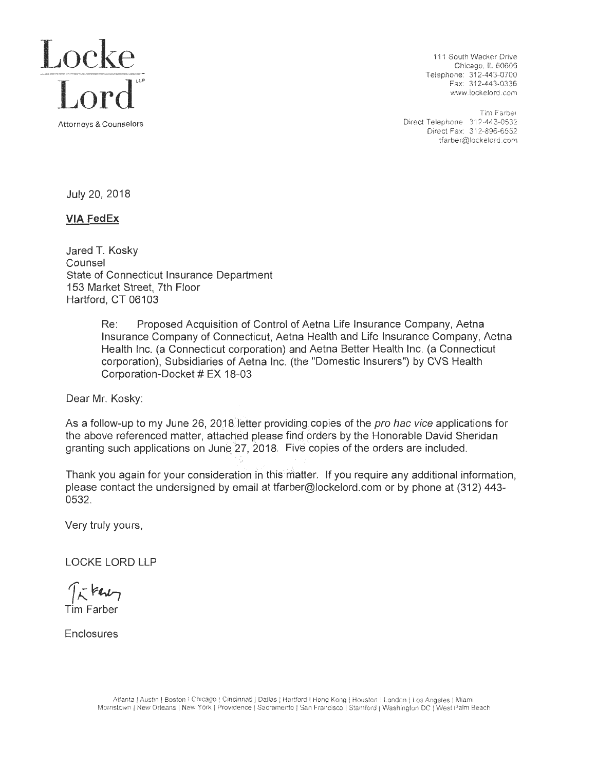

Chicago. IL 60606 Telephone: 312-443-0700

Tim Farber<br>Direct Telephone 312-443-0532 Direct Fax: 312-896-6552 tfarber@lockelord .com

July 20, 2018

# **VIA FedEx**

Jared T. Kosky Counsel State of Connecticut Insurance Department 153 Market Street, 7th Floor Hartford, CT 06103

> Re: Proposed Acquisition of Control of Aetna Life Insurance Company, Aetna Insurance Company of Connecticut, Aetna Health and Life Insurance Company, Aetna Health Inc. (a Connecticut corporation) and Aetna Better Health Inc. (a Connecticut corporation), Subsidiaries of Aetna Inc. (the "Domestic Insurers") by CVS Health Corporation-Docket # EX 18-03

Dear Mr. Kosky:

As a follow-up to my June 26, 2018 letter providing copies of the *pro hac vice* applications for the above referenced matter, attached please find orders by the Honorable David Sheridan granting such applications on June 27, 2018. Five copies of the orders are included.

Thank you again for your consideration in this matter. If you require any additional information, please contact the undersigned by email at tfarber@lockelord.com or by phone at (312) 443- 0532.

Very truly yours,

LOCKE LORD LLP

 $75$  kert Tim Farber

Enclosures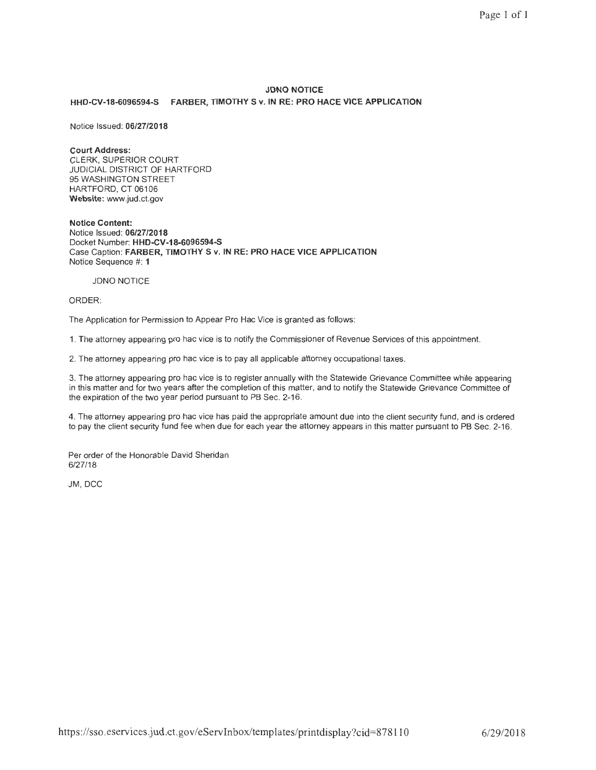# **JDNO NOTICE HHD-CV-18-6096594-S FARBER, TIMOTHY S v. IN RE: PRO HACE VICE APPLICATION**

Notice Issued: **06/27/2018** 

## **Court Address :**

CLERK, SUPERIOR COURT JUDICIAL DISTRICT OF HARTFORD 95 WASHINGTON STREET HARTFORD, CT 06106 **Website:** www.jud.ct.gov

**Notice Content:**  Notice Issued: **06/27/2018**  Docket Number: **HHD-CV-18-6096594-S**  Case Caption: **FARBER, TIMOTHY S v. IN RE: PRO HACE VICE APPLICATION**  Notice Sequence #: **1** 

#### JDNO NOTICE

ORDER:

The Application for Permission to Appear Pro Hae Vice is granted as follows:

1. The attorney appearing pro hac vice is to notify the Commissioner of Revenue Services of this appointment.

2. The attorney appearing pro hac vice is to pay all applicable attorney occupational taxes.

3. The attorney appearing pro hac vice is to register annually with the Statewide Grievance Committee while appearing in this matter and for two years after the completion of this matter, and to notify the Statewide Grievance Committee of the expiration of the two year period pursuant to PB Sec. 2-16.

4. The attorney appearing pro hac vice has paid the appropriate amount due into the client security fund, and is ordered to pay the client security fund fee when due for each year the attorney appears in this matter pursuant to PB Sec. 2-16.

Per order of the Honorable David Sheridan 6/27/18

JM, DCC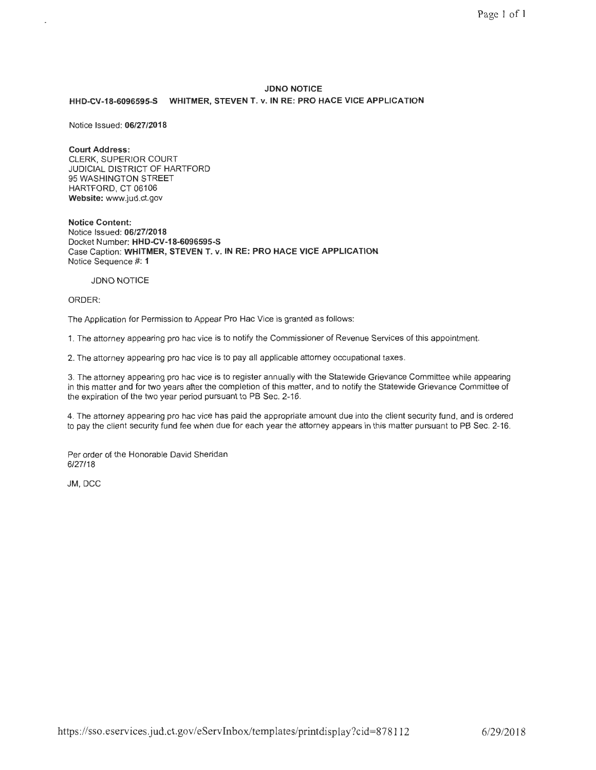## **JDNO NOTICE**

#### **HHD-CV-18-6096595-S WHITMER, STEVEN T. v. IN RE: PRO HACE VICE APPLICATION**

Notice Issued: **06/27/2018** 

#### **Court Address:**

CLERK, SUPERIOR COURT JUDICIAL DISTRICT OF HARTFORD 95 WASHINGTON STREET HARTFORD, CT 06106 **Website:** www.jud.ct.gov

**Notice Content:**  Notice Issued: **06/27/2018**  Docket Number: **HHD-CV-18-6096595-S**  Case Caption: **WHITMER, STEVEN T. v. IN RE: PRO HACE VICE APPLICATION**  Notice Sequence #: **1** 

#### JDNO NOTICE

### ORDER:

The Application for Permission to Appear Pro Hae Vice is granted as follows:

1. The attorney appearing pro hac vice is to notify the Commissioner of Revenue Services of this appointment.

2. The attorney appearing pro hac vice is to pay all applicable attorney occupational taxes.

3. The attorney appearing pro hac vice is to register annually with the Statewide Grievance Committee while appearing in this matter and for two years after the completion of this matter, and to notify the Statewide Grievance Committee of the expiration of the two year period pursuant to PB Sec. 2-16.

4. The attorney appearing pro hac vice has paid the appropriate amount due into the client security fund, and is ordered to pay the client security fund fee when due for each year the attorney appears in this matter pursuant to PB Sec. 2-16.

Per order of the Honorable David Sheridan 6/27/18

JM, DCC